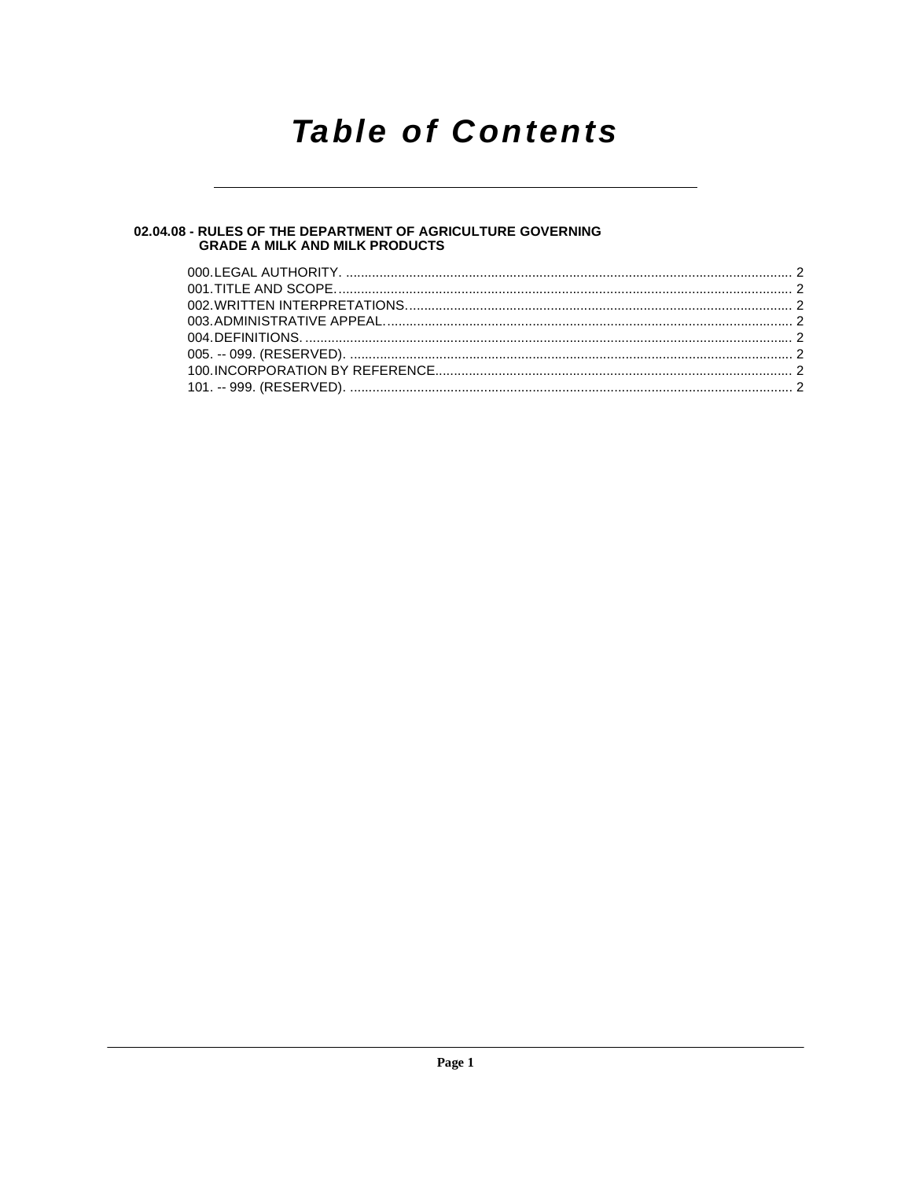# **Table of Contents**

# 02.04.08 - RULES OF THE DEPARTMENT OF AGRICULTURE GOVERNING<br>GRADE A MILK AND MILK PRODUCTS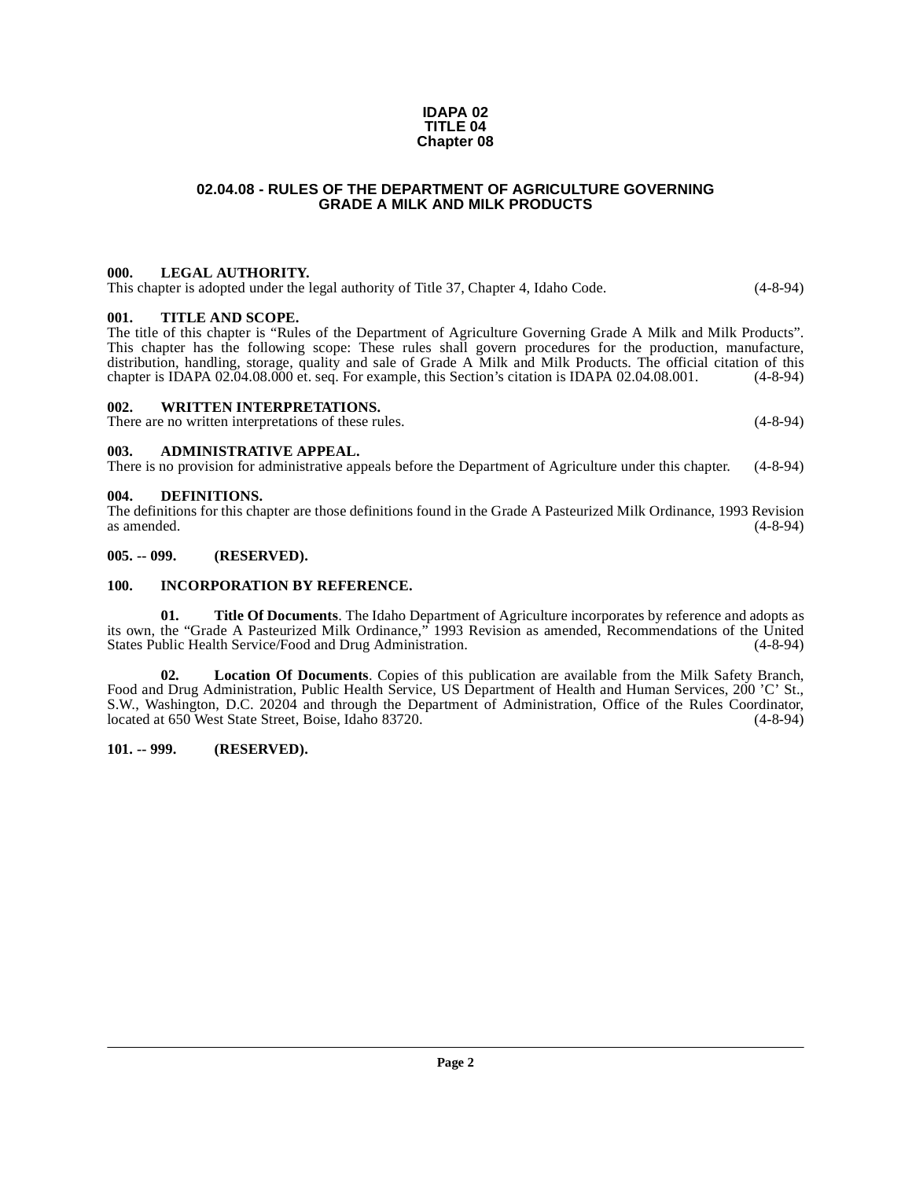#### **IDAPA 02 TITLE 04 Chapter 08**

# **02.04.08 - RULES OF THE DEPARTMENT OF AGRICULTURE GOVERNING GRADE A MILK AND MILK PRODUCTS**

# <span id="page-1-1"></span><span id="page-1-0"></span>**000. LEGAL AUTHORITY.**

This chapter is adopted under the legal authority of Title 37, Chapter 4, Idaho Code. (4-8-94)

#### <span id="page-1-2"></span>**001. TITLE AND SCOPE.**

The title of this chapter is "Rules of the Department of Agriculture Governing Grade A Milk and Milk Products". This chapter has the following scope: These rules shall govern procedures for the production, manufacture, distribution, handling, storage, quality and sale of Grade A Milk and Milk Products. The official citation of this chapter is IDAPA 02.04.08.000 et. seq. For example, this Section's citation is IDAPA 02.04.08.001. (4-8-94) chapter is IDAPA 02.04.08.000 et. seq. For example, this Section's citation is IDAPA 02.04.08.001.

#### <span id="page-1-3"></span>**002. WRITTEN INTERPRETATIONS.**

There are no written interpretations of these rules. (4-8-94)

#### <span id="page-1-4"></span>**003. ADMINISTRATIVE APPEAL.**

There is no provision for administrative appeals before the Department of Agriculture under this chapter. (4-8-94)

# <span id="page-1-9"></span><span id="page-1-5"></span>**004. DEFINITIONS.**

The definitions for this chapter are those definitions found in the Grade A Pasteurized Milk Ordinance, 1993 Revision as amended.  $(4-8-94)$ 

### <span id="page-1-6"></span>**005. -- 099. (RESERVED).**

# <span id="page-1-10"></span><span id="page-1-7"></span>**100. INCORPORATION BY REFERENCE.**

<span id="page-1-12"></span>**01. Title Of Documents**. The Idaho Department of Agriculture incorporates by reference and adopts as its own, the "Grade A Pasteurized Milk Ordinance," 1993 Revision as amended, Recommendations of the United States Public Health Service/Food and Drug Administration. (4-8-94)

<span id="page-1-11"></span>**02. Location Of Documents**. Copies of this publication are available from the Milk Safety Branch, Food and Drug Administration, Public Health Service, US Department of Health and Human Services, 200 'C' St., S.W., Washington, D.C. 20204 and through the Department of Administration, Office of the Rules Coordinator, located at 650 West State Street. Boise, Idaho 83720. (4-8-94) located at 650 West State Street, Boise, Idaho 83720.

# <span id="page-1-8"></span>**101. -- 999. (RESERVED).**